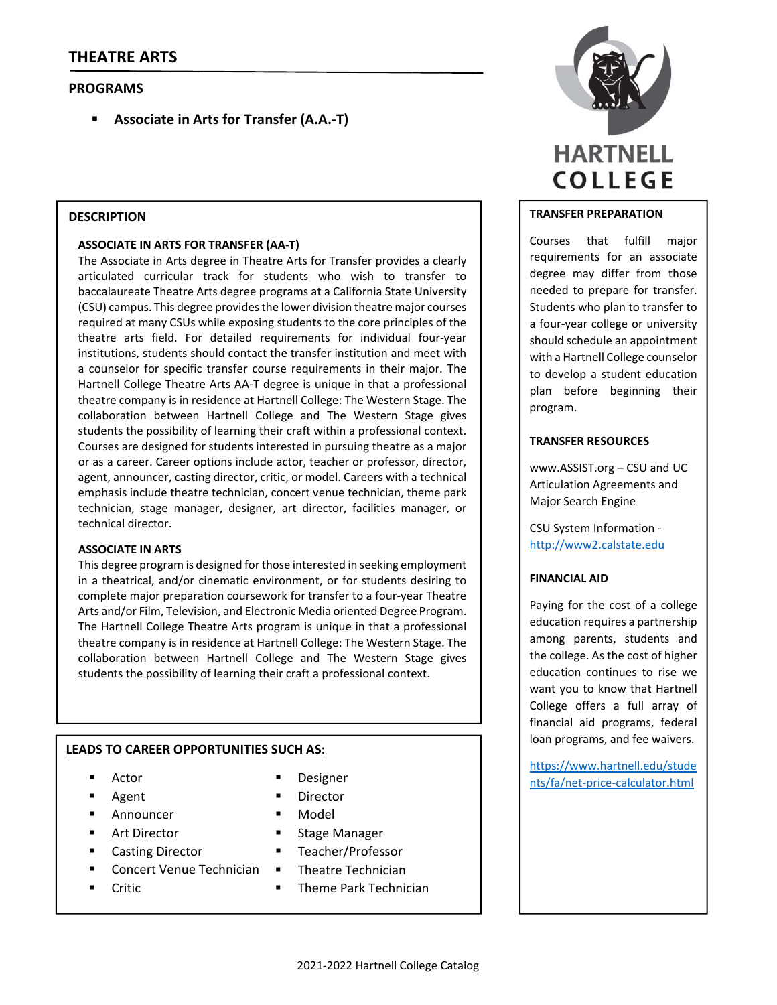## **PROGRAMS**

**Associate in Arts for Transfer (A.A.‐T)**

## **DESCRIPTION**

## **ASSOCIATE IN ARTS FOR TRANSFER (AA‐T)**

The Associate in Arts degree in Theatre Arts for Transfer provides a clearly articulated curricular track for students who wish to transfer to baccalaureate Theatre Arts degree programs at a California State University (CSU) campus. This degree provides the lower division theatre major courses required at many CSUs while exposing students to the core principles of the theatre arts field. For detailed requirements for individual four‐year institutions, students should contact the transfer institution and meet with a counselor for specific transfer course requirements in their major. The Hartnell College Theatre Arts AA‐T degree is unique in that a professional theatre company is in residence at Hartnell College: The Western Stage. The collaboration between Hartnell College and The Western Stage gives students the possibility of learning their craft within a professional context. Courses are designed for students interested in pursuing theatre as a major or as a career. Career options include actor, teacher or professor, director, agent, announcer, casting director, critic, or model. Careers with a technical emphasis include theatre technician, concert venue technician, theme park technician, stage manager, designer, art director, facilities manager, or technical director.

### **ASSOCIATE IN ARTS**

This degree program is designed for those interested in seeking employment in a theatrical, and/or cinematic environment, or for students desiring to complete major preparation coursework for transfer to a four‐year Theatre Arts and/or Film, Television, and Electronic Media oriented Degree Program. The Hartnell College Theatre Arts program is unique in that a professional theatre company is in residence at Hartnell College: The Western Stage. The collaboration between Hartnell College and The Western Stage gives students the possibility of learning their craft a professional context.

### **LEADS TO CAREER OPPORTUNITIES SUCH AS:**

- Actor
- Agent
- Announcer
- Art Director
- Casting Director
- Concert Venue Technician
- Critic
- 
- **Director** 
	- Model
	- Stage Manager
	- Teacher/Professor
	- Theatre Technician
	- Theme Park Technician



## **TRANSFER PREPARATION**

Courses that fulfill major requirements for an associate degree may differ from those needed to prepare for transfer. Students who plan to transfer to a four‐year college or university should schedule an appointment with a Hartnell College counselor to develop a student education plan before beginning their program.

## **TRANSFER RESOURCES**

www.ASSIST.org – CSU and UC Articulation Agreements and Major Search Engine

CSU System Information ‐ http://www2.calstate.edu

## **FINANCIAL AID**

Paying for the cost of a college education requires a partnership among parents, students and the college. As the cost of higher education continues to rise we want you to know that Hartnell College offers a full array of financial aid programs, federal loan programs, and fee waivers.

https://www.hartnell.edu/stude Designer **networks** and the price-calculator.html